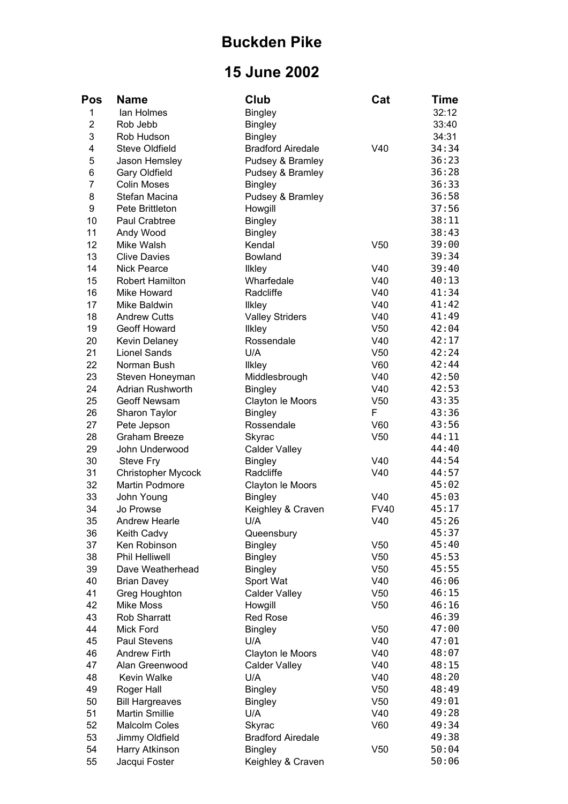## **Buckden Pike**

## **15 June 2002**

| <b>Pos</b>     | <b>Name</b>               | Club                     | Cat             | Time  |
|----------------|---------------------------|--------------------------|-----------------|-------|
| 1              | lan Holmes                | <b>Bingley</b>           |                 | 32:12 |
| $\overline{2}$ | Rob Jebb                  | <b>Bingley</b>           |                 | 33:40 |
| 3              | Rob Hudson                | <b>Bingley</b>           |                 | 34:31 |
| 4              | <b>Steve Oldfield</b>     | <b>Bradford Airedale</b> | V40             | 34:34 |
| 5              | Jason Hemsley             | Pudsey & Bramley         |                 | 36:23 |
| 6              | Gary Oldfield             | Pudsey & Bramley         |                 | 36:28 |
| $\overline{7}$ | <b>Colin Moses</b>        | <b>Bingley</b>           |                 | 36:33 |
| 8              | Stefan Macina             | Pudsey & Bramley         |                 | 36:58 |
| 9              | Pete Brittleton           | Howgill                  |                 | 37:56 |
| 10             | Paul Crabtree             | <b>Bingley</b>           |                 | 38:11 |
| 11             | Andy Wood                 | <b>Bingley</b>           |                 | 38:43 |
| 12             | Mike Walsh                | Kendal                   | V <sub>50</sub> | 39:00 |
| 13             | <b>Clive Davies</b>       | Bowland                  |                 | 39:34 |
| 14             | <b>Nick Pearce</b>        | <b>Ilkley</b>            | V40             | 39:40 |
| 15             | <b>Robert Hamilton</b>    | Wharfedale               | V40             | 40:13 |
| 16             | Mike Howard               | Radcliffe                | V40             | 41:34 |
| 17             | Mike Baldwin              | <b>Ilkley</b>            | V40             | 41:42 |
| 18             | <b>Andrew Cutts</b>       | <b>Valley Striders</b>   | V40             | 41:49 |
| 19             | Geoff Howard              | <b>Ilkley</b>            | V <sub>50</sub> | 42:04 |
| 20             | Kevin Delaney             | Rossendale               | V40             | 42:17 |
| 21             | <b>Lionel Sands</b>       | U/A                      | V <sub>50</sub> | 42:24 |
| 22             | Norman Bush               | <b>Ilkley</b>            | V60             | 42:44 |
| 23             | Steven Honeyman           | Middlesbrough            | V40             | 42:50 |
| 24             | Adrian Rushworth          | <b>Bingley</b>           | V40             | 42:53 |
| 25             | Geoff Newsam              | Clayton le Moors         | V <sub>50</sub> | 43:35 |
| 26             | Sharon Taylor             | <b>Bingley</b>           | F               | 43:36 |
| 27             | Pete Jepson               | Rossendale               | V60             | 43:56 |
| 28             | <b>Graham Breeze</b>      | Skyrac                   | V <sub>50</sub> | 44:11 |
| 29             | John Underwood            | <b>Calder Valley</b>     |                 | 44:40 |
| 30             | Steve Fry                 | <b>Bingley</b>           | V40             | 44:54 |
| 31             | <b>Christopher Mycock</b> | Radcliffe                | V40             | 44:57 |
| 32             | Martin Podmore            | Clayton le Moors         |                 | 45:02 |
| 33             | John Young                | <b>Bingley</b>           | V40             | 45:03 |
| 34             | Jo Prowse                 | Keighley & Craven        | <b>FV40</b>     | 45:17 |
| 35             | <b>Andrew Hearle</b>      | U/A                      | V40             | 45:26 |
| 36             | Keith Cadvy               | Queensbury               |                 | 45:37 |
| 37             | Ken Robinson              | <b>Bingley</b>           | V <sub>50</sub> | 45:40 |
| 38             | <b>Phil Helliwell</b>     | <b>Bingley</b>           | V50             | 45:53 |
| 39             | Dave Weatherhead          | <b>Bingley</b>           | V <sub>50</sub> | 45:55 |
| 40             | <b>Brian Davey</b>        | Sport Wat                | V40             | 46:06 |
| 41             | Greg Houghton             | <b>Calder Valley</b>     | V <sub>50</sub> | 46:15 |
| 42             | <b>Mike Moss</b>          | Howgill                  | V <sub>50</sub> | 46:16 |
| 43             | <b>Rob Sharratt</b>       | <b>Red Rose</b>          |                 | 46:39 |
| 44             | <b>Mick Ford</b>          | <b>Bingley</b>           | V <sub>50</sub> | 47:00 |
| 45             | Paul Stevens              | U/A                      | V40             | 47:01 |
| 46             | <b>Andrew Firth</b>       | Clayton le Moors         | V40             | 48:07 |
| 47             | Alan Greenwood            | <b>Calder Valley</b>     | V40             | 48:15 |
| 48             | Kevin Walke               | U/A                      | V40             | 48:20 |
| 49             | Roger Hall                | <b>Bingley</b>           | V <sub>50</sub> | 48:49 |
| 50             | <b>Bill Hargreaves</b>    | <b>Bingley</b>           | V50             | 49:01 |
| 51             | <b>Martin Smillie</b>     | U/A                      | V40             | 49:28 |
| 52             | <b>Malcolm Coles</b>      | Skyrac                   | V60             | 49:34 |
| 53             | Jimmy Oldfield            | <b>Bradford Airedale</b> |                 | 49:38 |
| 54             | Harry Atkinson            | <b>Bingley</b>           | V <sub>50</sub> | 50:04 |
| 55             | Jacqui Foster             | Keighley & Craven        |                 | 50:06 |